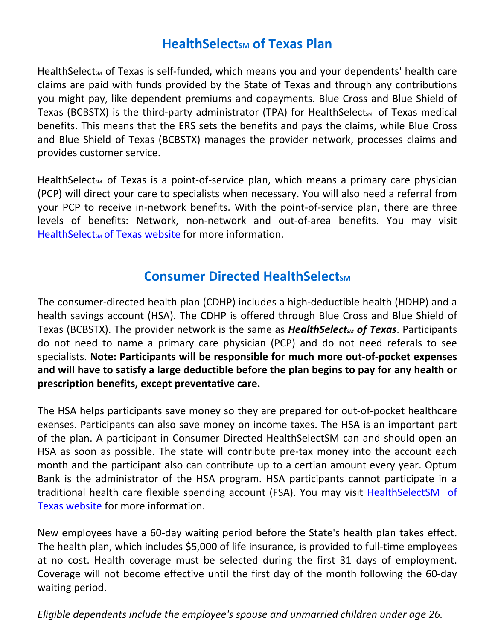# **HealthSelectsm of Texas Plan**

HealthSelect<sub>sM</sub> of Texas is self-funded, which means you and your dependents' health care claims are paid with funds provided by the State of Texas and through any contributions you might pay, like dependent premiums and copayments. Blue Cross and Blue Shield of Texas (BCBSTX) is the third-party administrator (TPA) for HealthSelect<sub>sM</sub> of Texas medical benefits. This means that the ERS sets the benefits and pays the claims, while Blue Cross and Blue Shield of Texas (BCBSTX) manages the provider network, processes claims and provides customer service.

Health Select<sub>sM</sub> of Texas is a point-of-service plan, which means a primary care physician (PCP) will direct your care to specialists when necessary. You will also need a referral from your PCP to receive in-network benefits. With the point-of-service plan, there are three levels of benefits: Network, non-network and out-of-area benefits. You may visit HealthSelect<sub>5M</sub> of Texas website for more information.

# **Consumer Directed HealthSelectsM**

The consumer-directed health plan (CDHP) includes a high-deductible health (HDHP) and a health savings account (HSA). The CDHP is offered through Blue Cross and Blue Shield of Texas (BCBSTX). The provider network is the same as **HealthSelect<sub>SM</sub> of Texas**. Participants do not need to name a primary care physician (PCP) and do not need referals to see specialists. **Note: Participants will be responsible for much more out-of-pocket expenses and will have to satisfy a large deductible before the plan begins to pay for any health or prescription benefits, except preventative care.**

The HSA helps participants save money so they are prepared for out-of-pocket healthcare exenses. Participants can also save money on income taxes. The HSA is an important part of the plan. A participant in Consumer Directed HealthSelectSM can and should open an HSA as soon as possible. The state will contribute pre-tax money into the account each month and the participant also can contribute up to a certian amount every year. Optum Bank is the administrator of the HSA program. HSA participants cannot participate in a traditional health care flexible spending account (FSA). You may visit **HealthSelectSM** of [Texas website](https://healthselect.bcbstx.com/) for more information.

New employees have a 60-day waiting period before the State's health plan takes effect. The health plan, which includes \$5,000 of life insurance, is provided to full-time employees at no cost. Health coverage must be selected during the first 31 days of employment. Coverage will not become effective until the first day of the month following the 60-day waiting period.

*Eligible dependents include the employee's spouse and unmarried children under age 26.*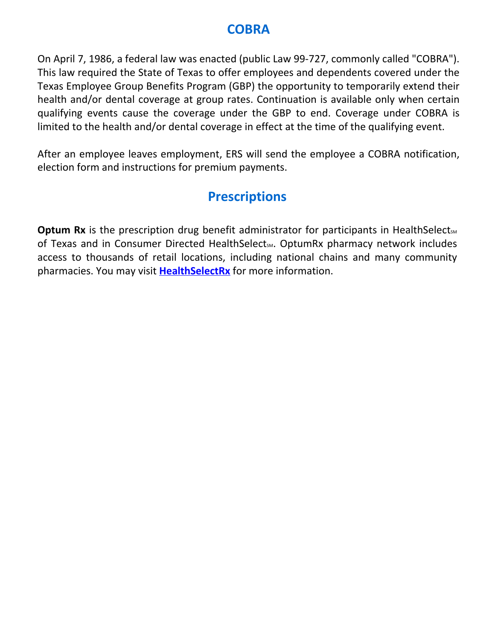# **COBRA**

On April 7, 1986, a federal law was enacted (public Law 99-727, commonly called "COBRA"). This law required the State of Texas to offer employees and dependents covered under the Texas Employee Group Benefits Program (GBP) the opportunity to temporarily extend their health and/or dental coverage at group rates. Continuation is available only when certain qualifying events cause the coverage under the GBP to end. Coverage under COBRA is limited to the health and/or dental coverage in effect at the time of the qualifying event.

After an employee leaves employment, ERS will send the employee a COBRA notification, election form and instructions for premium payments.

# **Prescriptions**

**Optum Rx** is the prescription drug benefit administrator for participants in HealthSelect<sub>SM</sub> of Texas and in Consumer Directed HealthSelect<sub>sm</sub>. OptumRx pharmacy network includes access to thousands of retail locations, including national chains and many community pharmacies. You may visit **[HealthSelectRx](https://www.optumrx.com/oe_ers/landing)** for more information.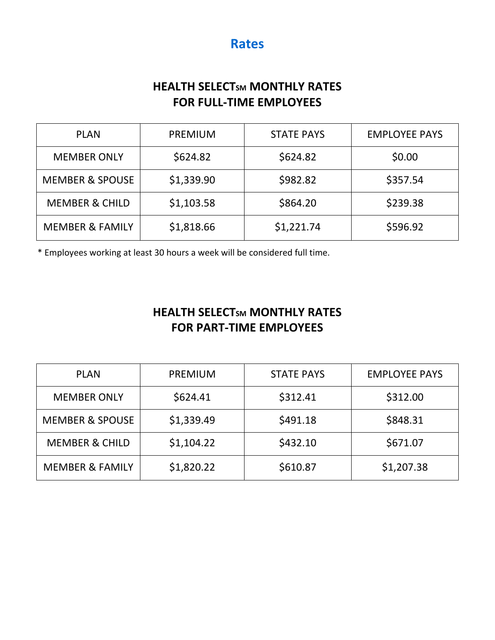## **HEALTH SELECTSM MONTHLY RATES FOR FULL-TIME EMPLOYEES**

| <b>PLAN</b>                | <b>PREMIUM</b> | <b>STATE PAYS</b> | <b>EMPLOYEE PAYS</b> |
|----------------------------|----------------|-------------------|----------------------|
| <b>MEMBER ONLY</b>         | \$624.82       | \$624.82          | \$0.00               |
| <b>MEMBER &amp; SPOUSE</b> | \$1,339.90     | \$982.82          | \$357.54             |
| <b>MEMBER &amp; CHILD</b>  | \$1,103.58     | \$864.20          | \$239.38             |
| <b>MEMBER &amp; FAMILY</b> | \$1,818.66     | \$1,221.74        | \$596.92             |

\* Employees working at least 30 hours a week will be considered full time.

## **HEALTH SELECTSM MONTHLY RATES FOR PART-TIME EMPLOYEES**

| <b>PLAN</b>                | <b>PREMIUM</b> | <b>STATE PAYS</b> | <b>EMPLOYEE PAYS</b> |
|----------------------------|----------------|-------------------|----------------------|
| <b>MEMBER ONLY</b>         | \$624.41       | \$312.41          | \$312.00             |
| <b>MEMBER &amp; SPOUSE</b> | \$1,339.49     | \$491.18          | \$848.31             |
| <b>MEMBER &amp; CHILD</b>  | \$1,104.22     | \$432.10          | \$671.07             |
| <b>MEMBER &amp; FAMILY</b> | \$1,820.22     | \$610.87          | \$1,207.38           |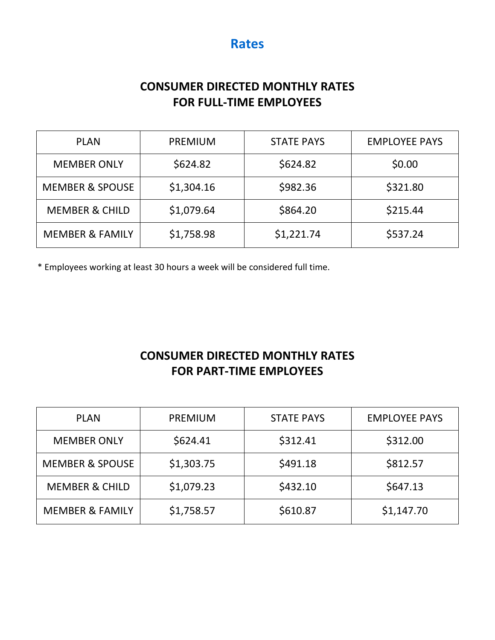## **CONSUMER DIRECTED MONTHLY RATES FOR FULL-TIME EMPLOYEES**

| <b>PLAN</b>                | <b>PREMIUM</b> | <b>STATE PAYS</b> | <b>EMPLOYEE PAYS</b> |
|----------------------------|----------------|-------------------|----------------------|
| <b>MEMBER ONLY</b>         | \$624.82       | \$624.82          | \$0.00               |
| <b>MEMBER &amp; SPOUSE</b> | \$1,304.16     | \$982.36          | \$321.80             |
| <b>MEMBER &amp; CHILD</b>  | \$1,079.64     | \$864.20          | \$215.44             |
| <b>MEMBER &amp; FAMILY</b> | \$1,758.98     | \$1,221.74        | \$537.24             |

\* Employees working at least 30 hours a week will be considered full time.

## **CONSUMER DIRECTED MONTHLY RATES FOR PART-TIME EMPLOYEES**

| <b>PLAN</b>                | <b>PREMIUM</b> | <b>STATE PAYS</b> | <b>EMPLOYEE PAYS</b> |
|----------------------------|----------------|-------------------|----------------------|
| <b>MEMBER ONLY</b>         | \$624.41       | \$312.41          | \$312.00             |
| <b>MEMBER &amp; SPOUSE</b> | \$1,303.75     | \$491.18          | \$812.57             |
| <b>MEMBER &amp; CHILD</b>  | \$1,079.23     | \$432.10          | \$647.13             |
| <b>MEMBER &amp; FAMILY</b> | \$1,758.57     | \$610.87          | \$1,147.70           |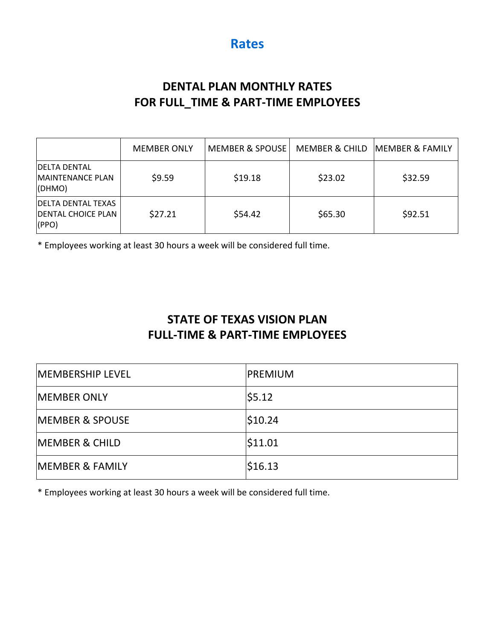## **DENTAL PLAN MONTHLY RATES FOR FULL\_TIME & PART-TIME EMPLOYEES**

|                                                                     | <b>MEMBER ONLY</b> | <b>MEMBER &amp; SPOUSE</b> | <b>MEMBER &amp; CHILD</b> | <b>MEMBER &amp; FAMILY</b> |
|---------------------------------------------------------------------|--------------------|----------------------------|---------------------------|----------------------------|
| <b>IDELTA DENTAL</b><br>MAINTENANCE PLAN<br>(DHMO)                  | \$9.59             | \$19.18                    | \$23.02                   | \$32.59                    |
| <b>DELTA DENTAL TEXAS</b><br><b>DENTAL CHOICE PLAN</b><br>$ $ (PPO) | \$27.21            | \$54.42                    | \$65.30                   | \$92.51                    |

\* Employees working at least 30 hours a week will be considered full time.

## **STATE OF TEXAS VISION PLAN FULL-TIME & PART-TIME EMPLOYEES**

| <b>MEMBERSHIP LEVEL</b>    | <b>PREMIUM</b> |
|----------------------------|----------------|
| <b>IMEMBER ONLY</b>        | \$5.12         |
| <b>MEMBER &amp; SPOUSE</b> | \$10.24        |
| <b>MEMBER &amp; CHILD</b>  | \$11.01        |
| <b>MEMBER &amp; FAMILY</b> | \$16.13        |

\* Employees working at least 30 hours a week will be considered full time.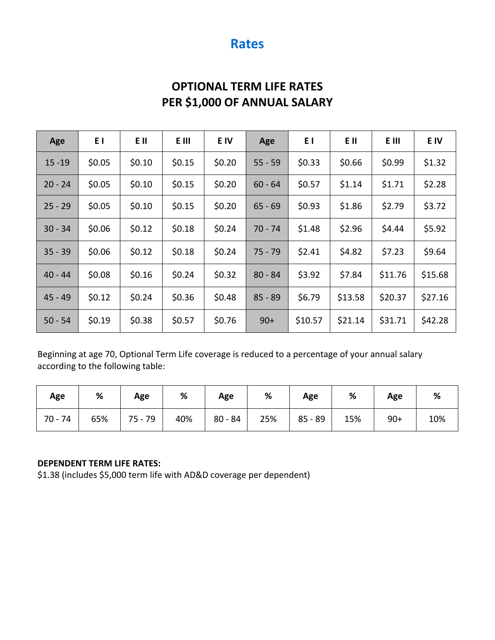## **OPTIONAL TERM LIFE RATES PER \$1,000 OF ANNUAL SALARY**

| Age       | EΙ     | E II   | E III  | E IV   | Age       | ΕI      | E II    | E III   | E IV    |
|-----------|--------|--------|--------|--------|-----------|---------|---------|---------|---------|
| $15 - 19$ | \$0.05 | \$0.10 | \$0.15 | \$0.20 | $55 - 59$ | \$0.33  | \$0.66  | \$0.99  | \$1.32  |
| $20 - 24$ | \$0.05 | \$0.10 | \$0.15 | \$0.20 | $60 - 64$ | \$0.57  | \$1.14  | \$1.71  | \$2.28  |
| $25 - 29$ | \$0.05 | \$0.10 | \$0.15 | \$0.20 | $65 - 69$ | \$0.93  | \$1.86  | \$2.79  | \$3.72  |
| $30 - 34$ | \$0.06 | \$0.12 | \$0.18 | \$0.24 | 70 - 74   | \$1.48  | \$2.96  | \$4.44  | \$5.92  |
| $35 - 39$ | \$0.06 | \$0.12 | \$0.18 | \$0.24 | $75 - 79$ | \$2.41  | \$4.82  | \$7.23  | \$9.64  |
| $40 - 44$ | \$0.08 | \$0.16 | \$0.24 | \$0.32 | $80 - 84$ | \$3.92  | \$7.84  | \$11.76 | \$15.68 |
| $45 - 49$ | \$0.12 | \$0.24 | \$0.36 | \$0.48 | $85 - 89$ | \$6.79  | \$13.58 | \$20.37 | \$27.16 |
| $50 - 54$ | \$0.19 | \$0.38 | \$0.57 | \$0.76 | $90+$     | \$10.57 | \$21.14 | \$31.71 | \$42.28 |

Beginning at age 70, Optional Term Life coverage is reduced to a percentage of your annual salary according to the following table:

| Age     | %   | Age       | %   | Age       | %   | Age        | %   | Age   | %   |
|---------|-----|-----------|-----|-----------|-----|------------|-----|-------|-----|
| 70 - 74 | 65% | $75 - 79$ | 40% | $80 - 84$ | 25% | $185 - 89$ | 15% | $90+$ | 10% |

#### **DEPENDENT TERM LIFE RATES:**

\$1.38 (includes \$5,000 term life with AD&D coverage per dependent)